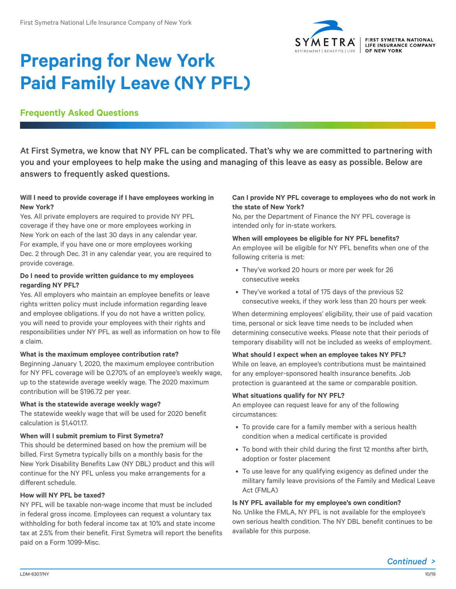

# **Preparing for New York Paid Family Leave (NY PFL)**

## **Frequently Asked Questions**

At First Symetra, we know that NY PFL can be complicated. That's why we are committed to partnering with you and your employees to help make the using and managing of this leave as easy as possible. Below are answers to frequently asked questions.

## **Will I need to provide coverage if I have employees working in New York?**

Yes. All private employers are required to provide NY PFL coverage if they have one or more employees working in New York on each of the last 30 days in any calendar year. For example, if you have one or more employees working Dec. 2 through Dec. 31 in any calendar year, you are required to provide coverage.

## **Do I need to provide written guidance to my employees regarding NY PFL?**

Yes. All employers who maintain an employee benefits or leave rights written policy must include information regarding leave and employee obligations. If you do not have a written policy, you will need to provide your employees with their rights and responsibilities under NY PFL as well as information on how to file a claim.

## **What is the maximum employee contribution rate?**

Beginning January 1, 2020, the maximum employee contribution for NY PFL coverage will be 0.270% of an employee's weekly wage, up to the statewide average weekly wage. The 2020 maximum contribution will be \$196.72 per year.

#### **What is the statewide average weekly wage?**

The statewide weekly wage that will be used for 2020 benefit calculation is \$1,401.17.

## **When will I submit premium to First Symetra?**

This should be determined based on how the premium will be billed. First Symetra typically bills on a monthly basis for the New York Disability Benefits Law (NY DBL) product and this will continue for the NY PFL unless you make arrangements for a different schedule.

#### **How will NY PFL be taxed?**

NY PFL will be taxable non-wage income that must be included in federal gross income. Employees can request a voluntary tax withholding for both federal income tax at 10% and state income tax at 2.5% from their benefit. First Symetra will report the benefits paid on a Form 1099-Misc.

#### **Can I provide NY PFL coverage to employees who do not work in the state of New York?**

No, per the Department of Finance the NY PFL coverage is intended only for in-state workers.

#### **When will employees be eligible for NY PFL benefits?**

An employee will be eligible for NY PFL benefits when one of the following criteria is met:

- They've worked 20 hours or more per week for 26 consecutive weeks
- They've worked a total of 175 days of the previous 52 consecutive weeks, if they work less than 20 hours per week

When determining employees' eligibility, their use of paid vacation time, personal or sick leave time needs to be included when determining consecutive weeks. Please note that their periods of temporary disability will not be included as weeks of employment.

#### **What should I expect when an employee takes NY PFL?**

While on leave, an employee's contributions must be maintained for any employer-sponsored health insurance benefits. Job protection is guaranteed at the same or comparable position.

#### **What situations qualify for NY PFL?**

An employee can request leave for any of the following circumstances:

- To provide care for a family member with a serious health condition when a medical certificate is provided
- To bond with their child during the first 12 months after birth, adoption or foster placement
- To use leave for any qualifying exigency as defined under the military family leave provisions of the Family and Medical Leave Act (FMLA)

#### **Is NY PFL available for my employee's own condition?**

No. Unlike the FMLA, NY PFL is not available for the employee's own serious health condition. The NY DBL benefit continues to be available for this purpose.